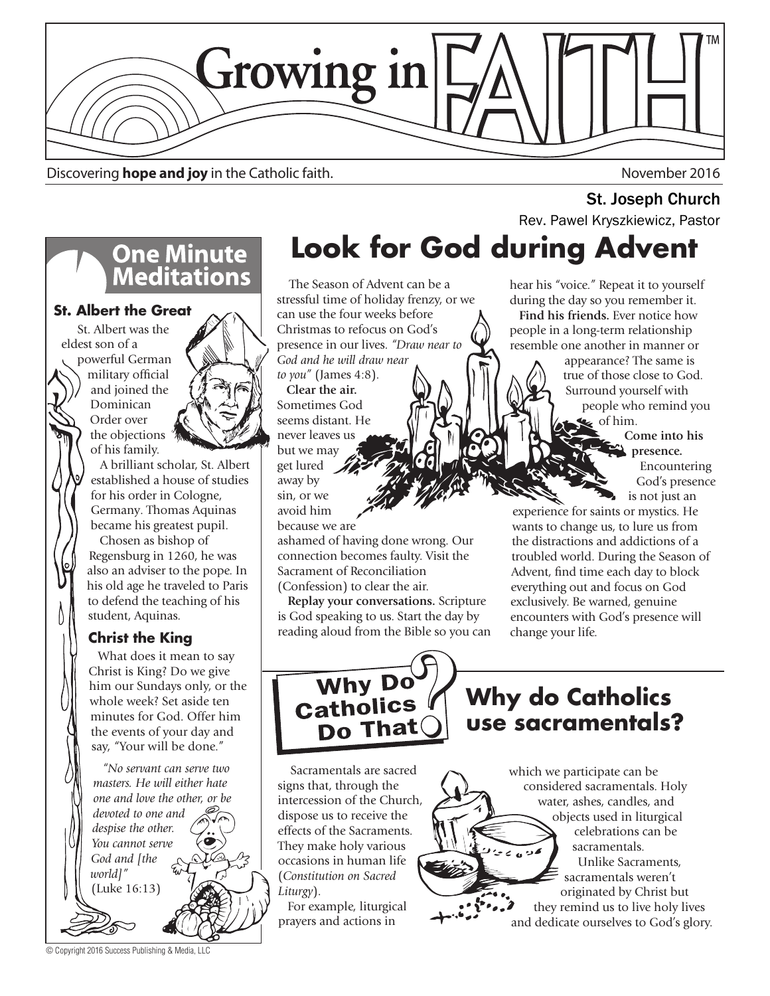

Discovering **hope and joy** in the Catholic faith. November 2016

# **One Minute<br>Meditations**

#### **St. Albert the Great**

 St. Albert was the eldest son of a

powerful German military official and joined the Dominican Order over the objections of his family.



 A brilliant scholar, St. Albert established a house of studies for his order in Cologne, Germany. Thomas Aquinas became his greatest pupil.

 Chosen as bishop of Regensburg in 1260, he was also an adviser to the pope. In his old age he traveled to Paris to defend the teaching of his student, Aquinas.

#### **Christ the King**

 What does it mean to say Christ is King? Do we give him our Sundays only, or the whole week? Set aside ten minutes for God. Offer him the events of your day and say, "Your will be done."

 *"No servant can serve two masters. He will either hate one and love the other, or be devoted to one and despise the other. You cannot serve God and [the world]"*  (Luke 16:13)

© Copyright 2016 Success Publishing & Media, LLC

# **Look for God during Advent St. Joseph Church**<br>Rev. Pawel Kryszkiewicz, Pastor

 The Season of Advent can be a stressful time of holiday frenzy, or we can use the four weeks before Christmas to refocus on God's presence in our lives. *"Draw near to God and he will draw near to you"* (James 4:8).

 **Clear the air.**  Sometimes God seems distant. He never leaves us but we may get lured away by sin, or we avoid him because we are

ashamed of having done wrong. Our connection becomes faulty. Visit the Sacrament of Reconciliation (Confession) to clear the air.

 **Replay your conversations.** Scripture is God speaking to us. Start the day by reading aloud from the Bible so you can hear his "voice." Repeat it to yourself during the day so you remember it. **Find his friends.** Ever notice how people in a long-term relationship resemble one another in manner or

> appearance? The same is true of those close to God. Surround yourself with people who remind you of him.

> > **Come into his presence.**  Encountering God's presence is not just an

experience for saints or mystics. He wants to change us, to lure us from the distractions and addictions of a troubled world. During the Season of Advent, find time each day to block everything out and focus on God exclusively. Be warned, genuine encounters with God's presence will change your life.



**Why do Catholics use sacramentals?**

 Sacramentals are sacred signs that, through the intercession of the Church, dispose us to receive the effects of the Sacraments. They make holy various occasions in human life (*Constitution on Sacred Liturgy*).

 For example, liturgical prayers and actions in

#### which we participate can be considered sacramentals. Holy water, ashes, candles, and objects used in liturgical celebrations can be sacramentals.  $\epsilon_0$ Unlike Sacraments,

sacramentals weren't originated by Christ but they remind us to live holy lives and dedicate ourselves to God's glory.